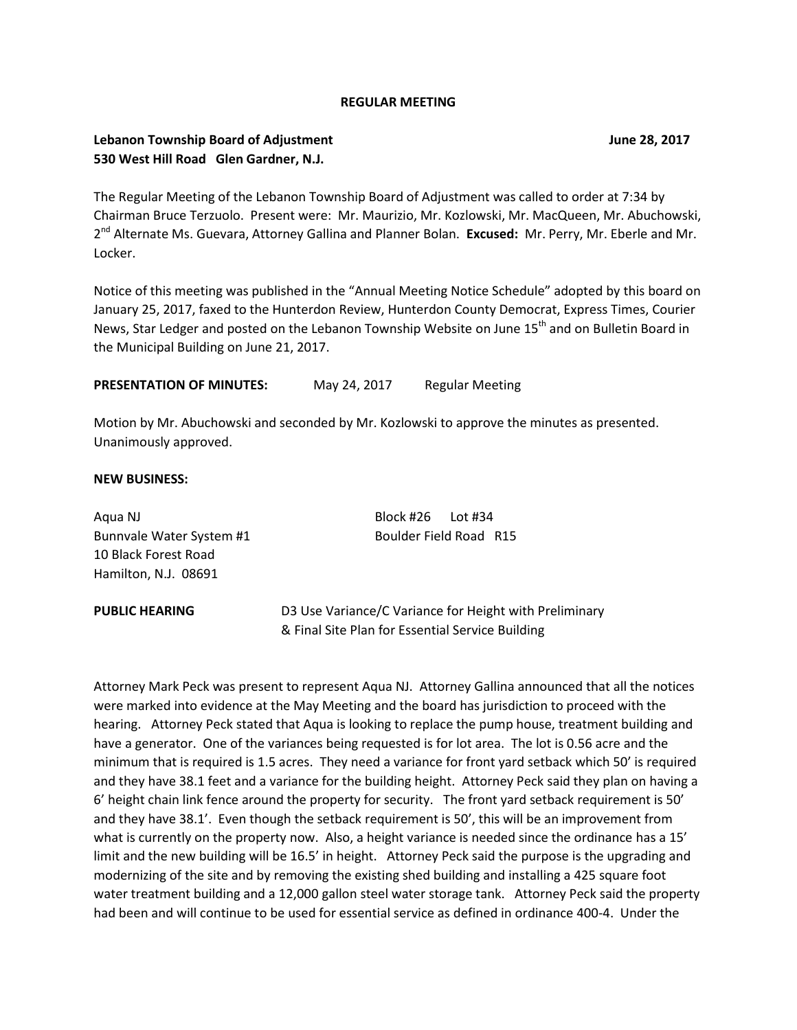#### **REGULAR MEETING**

## **Lebanon Township Board of Adjustment June 28, 2017 530 West Hill Road Glen Gardner, N.J.**

The Regular Meeting of the Lebanon Township Board of Adjustment was called to order at 7:34 by Chairman Bruce Terzuolo. Present were: Mr. Maurizio, Mr. Kozlowski, Mr. MacQueen, Mr. Abuchowski, 2<sup>nd</sup> Alternate Ms. Guevara, Attorney Gallina and Planner Bolan. **Excused:** Mr. Perry, Mr. Eberle and Mr. Locker.

Notice of this meeting was published in the "Annual Meeting Notice Schedule" adopted by this board on January 25, 2017, faxed to the Hunterdon Review, Hunterdon County Democrat, Express Times, Courier News, Star Ledger and posted on the Lebanon Township Website on June 15<sup>th</sup> and on Bulletin Board in the Municipal Building on June 21, 2017.

PRESENTATION OF MINUTES: May 24, 2017 Regular Meeting

Motion by Mr. Abuchowski and seconded by Mr. Kozlowski to approve the minutes as presented. Unanimously approved.

#### **NEW BUSINESS:**

Aqua NJ Block #26 Lot #34 Bunnvale Water System #1 Boulder Field Road R15 10 Black Forest Road Hamilton, N.J. 08691

**PUBLIC HEARING D3 Use Variance/C Variance for Height with Preliminary** & Final Site Plan for Essential Service Building

Attorney Mark Peck was present to represent Aqua NJ. Attorney Gallina announced that all the notices were marked into evidence at the May Meeting and the board has jurisdiction to proceed with the hearing. Attorney Peck stated that Aqua is looking to replace the pump house, treatment building and have a generator. One of the variances being requested is for lot area. The lot is 0.56 acre and the minimum that is required is 1.5 acres. They need a variance for front yard setback which 50' is required and they have 38.1 feet and a variance for the building height. Attorney Peck said they plan on having a 6' height chain link fence around the property for security. The front yard setback requirement is 50' and they have 38.1'. Even though the setback requirement is 50', this will be an improvement from what is currently on the property now. Also, a height variance is needed since the ordinance has a 15' limit and the new building will be 16.5' in height. Attorney Peck said the purpose is the upgrading and modernizing of the site and by removing the existing shed building and installing a 425 square foot water treatment building and a 12,000 gallon steel water storage tank. Attorney Peck said the property had been and will continue to be used for essential service as defined in ordinance 400-4. Under the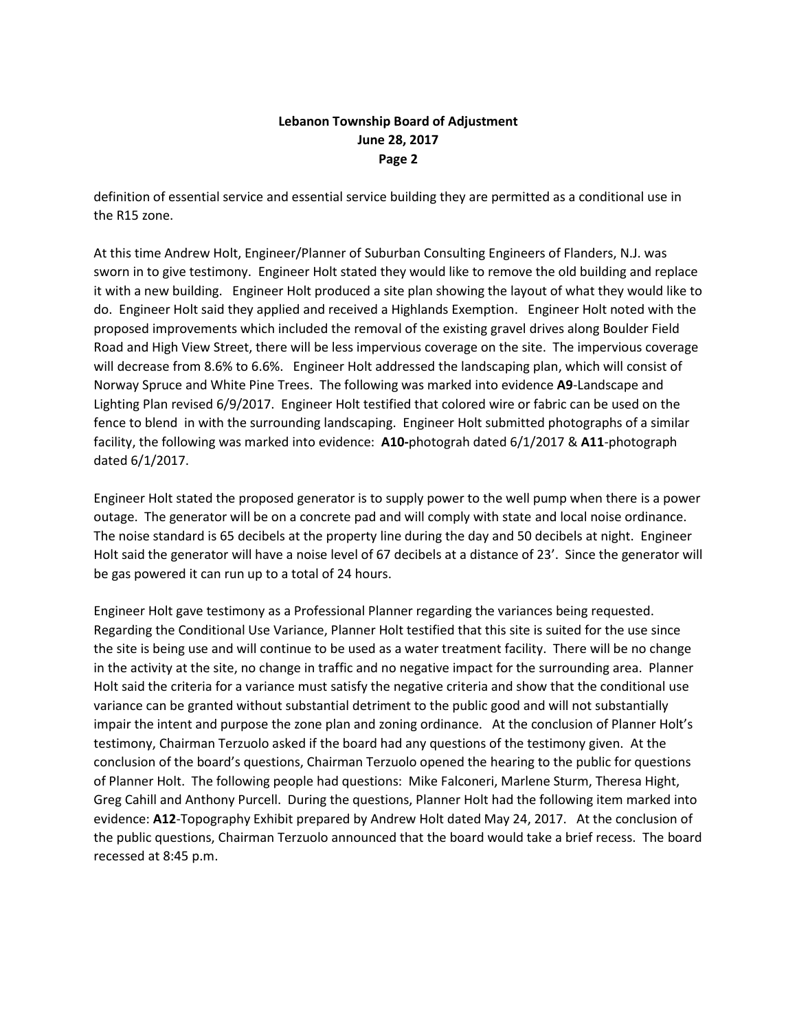# **Lebanon Township Board of Adjustment June 28, 2017 Page 2**

definition of essential service and essential service building they are permitted as a conditional use in the R15 zone.

At this time Andrew Holt, Engineer/Planner of Suburban Consulting Engineers of Flanders, N.J. was sworn in to give testimony. Engineer Holt stated they would like to remove the old building and replace it with a new building. Engineer Holt produced a site plan showing the layout of what they would like to do. Engineer Holt said they applied and received a Highlands Exemption. Engineer Holt noted with the proposed improvements which included the removal of the existing gravel drives along Boulder Field Road and High View Street, there will be less impervious coverage on the site. The impervious coverage will decrease from 8.6% to 6.6%. Engineer Holt addressed the landscaping plan, which will consist of Norway Spruce and White Pine Trees. The following was marked into evidence **A9**-Landscape and Lighting Plan revised 6/9/2017. Engineer Holt testified that colored wire or fabric can be used on the fence to blend in with the surrounding landscaping. Engineer Holt submitted photographs of a similar facility, the following was marked into evidence: **A10-**photograh dated 6/1/2017 & **A11**-photograph dated 6/1/2017.

Engineer Holt stated the proposed generator is to supply power to the well pump when there is a power outage. The generator will be on a concrete pad and will comply with state and local noise ordinance. The noise standard is 65 decibels at the property line during the day and 50 decibels at night. Engineer Holt said the generator will have a noise level of 67 decibels at a distance of 23'. Since the generator will be gas powered it can run up to a total of 24 hours.

Engineer Holt gave testimony as a Professional Planner regarding the variances being requested. Regarding the Conditional Use Variance, Planner Holt testified that this site is suited for the use since the site is being use and will continue to be used as a water treatment facility. There will be no change in the activity at the site, no change in traffic and no negative impact for the surrounding area. Planner Holt said the criteria for a variance must satisfy the negative criteria and show that the conditional use variance can be granted without substantial detriment to the public good and will not substantially impair the intent and purpose the zone plan and zoning ordinance. At the conclusion of Planner Holt's testimony, Chairman Terzuolo asked if the board had any questions of the testimony given. At the conclusion of the board's questions, Chairman Terzuolo opened the hearing to the public for questions of Planner Holt. The following people had questions: Mike Falconeri, Marlene Sturm, Theresa Hight, Greg Cahill and Anthony Purcell. During the questions, Planner Holt had the following item marked into evidence: **A12**-Topography Exhibit prepared by Andrew Holt dated May 24, 2017. At the conclusion of the public questions, Chairman Terzuolo announced that the board would take a brief recess. The board recessed at 8:45 p.m.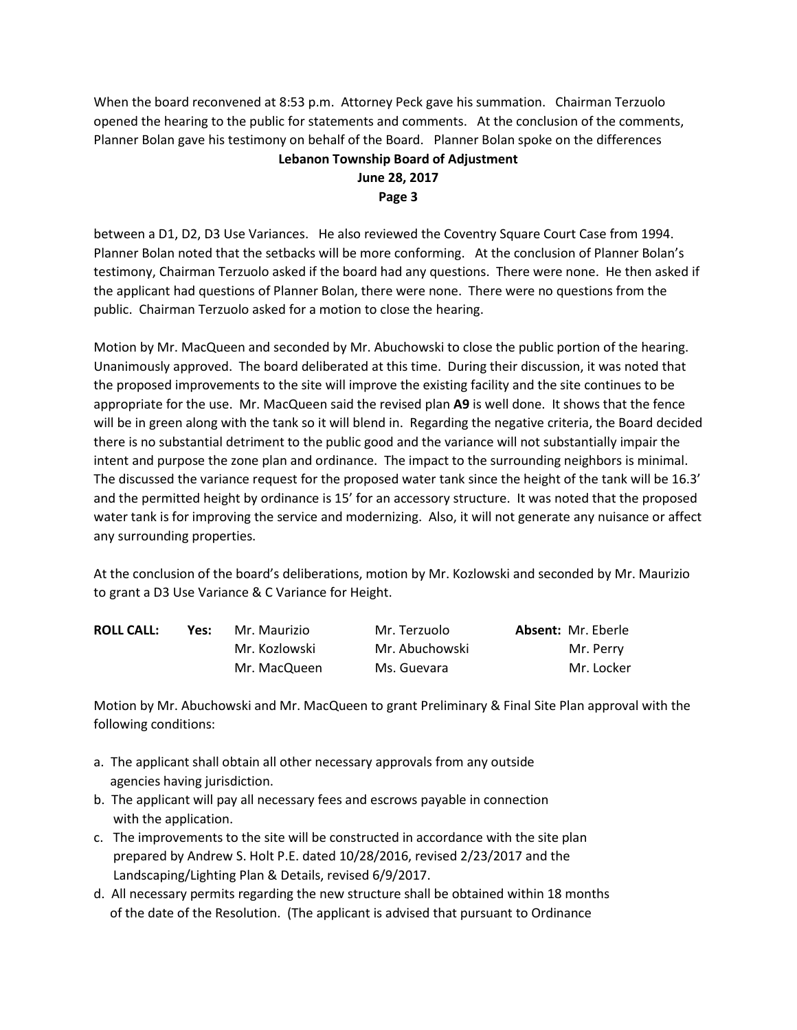When the board reconvened at 8:53 p.m. Attorney Peck gave his summation. Chairman Terzuolo opened the hearing to the public for statements and comments. At the conclusion of the comments, Planner Bolan gave his testimony on behalf of the Board. Planner Bolan spoke on the differences

# **Lebanon Township Board of Adjustment June 28, 2017 Page 3**

between a D1, D2, D3 Use Variances. He also reviewed the Coventry Square Court Case from 1994. Planner Bolan noted that the setbacks will be more conforming. At the conclusion of Planner Bolan's testimony, Chairman Terzuolo asked if the board had any questions. There were none. He then asked if the applicant had questions of Planner Bolan, there were none. There were no questions from the public. Chairman Terzuolo asked for a motion to close the hearing.

Motion by Mr. MacQueen and seconded by Mr. Abuchowski to close the public portion of the hearing. Unanimously approved. The board deliberated at this time. During their discussion, it was noted that the proposed improvements to the site will improve the existing facility and the site continues to be appropriate for the use. Mr. MacQueen said the revised plan **A9** is well done. It shows that the fence will be in green along with the tank so it will blend in. Regarding the negative criteria, the Board decided there is no substantial detriment to the public good and the variance will not substantially impair the intent and purpose the zone plan and ordinance. The impact to the surrounding neighbors is minimal. The discussed the variance request for the proposed water tank since the height of the tank will be 16.3' and the permitted height by ordinance is 15' for an accessory structure. It was noted that the proposed water tank is for improving the service and modernizing. Also, it will not generate any nuisance or affect any surrounding properties.

At the conclusion of the board's deliberations, motion by Mr. Kozlowski and seconded by Mr. Maurizio to grant a D3 Use Variance & C Variance for Height.

| <b>ROLL CALL:</b> | Yes: | Mr. Maurizio  | Mr. Terzuolo   | <b>Absent: Mr. Eberle</b> |
|-------------------|------|---------------|----------------|---------------------------|
|                   |      | Mr. Kozlowski | Mr. Abuchowski | Mr. Perry                 |
|                   |      | Mr. MacQueen  | Ms. Guevara    | Mr. Locker                |

Motion by Mr. Abuchowski and Mr. MacQueen to grant Preliminary & Final Site Plan approval with the following conditions:

- a. The applicant shall obtain all other necessary approvals from any outside agencies having jurisdiction.
- b. The applicant will pay all necessary fees and escrows payable in connection with the application.
- c. The improvements to the site will be constructed in accordance with the site plan prepared by Andrew S. Holt P.E. dated 10/28/2016, revised 2/23/2017 and the Landscaping/Lighting Plan & Details, revised 6/9/2017.
- d. All necessary permits regarding the new structure shall be obtained within 18 months of the date of the Resolution. (The applicant is advised that pursuant to Ordinance